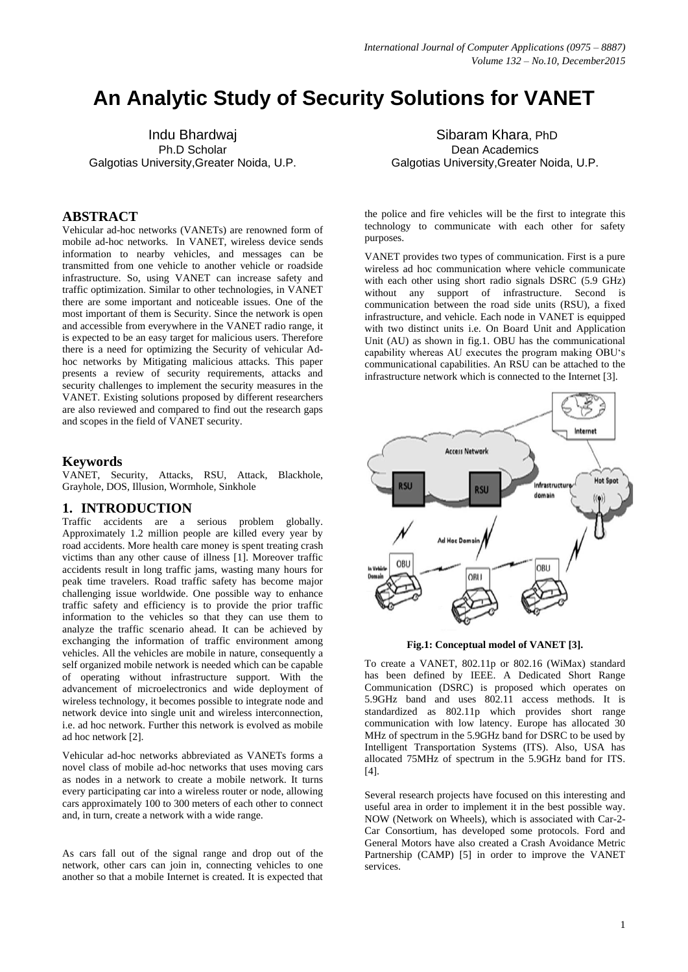# **An Analytic Study of Security Solutions for VANET**

Indu Bhardwaj Ph.D Scholar Galgotias University,Greater Noida, U.P.

## **ABSTRACT**

Vehicular ad-hoc networks (VANETs) are renowned form of mobile ad-hoc networks. In VANET, wireless device sends information to nearby vehicles, and messages can be transmitted from one vehicle to another vehicle or roadside infrastructure. So, using VANET can increase safety and traffic optimization. Similar to other technologies, in VANET there are some important and noticeable issues. One of the most important of them is Security. Since the network is open and accessible from everywhere in the VANET radio range, it is expected to be an easy target for malicious users. Therefore there is a need for optimizing the Security of vehicular Adhoc networks by Mitigating malicious attacks. This paper presents a review of security requirements, attacks and security challenges to implement the security measures in the VANET. Existing solutions proposed by different researchers are also reviewed and compared to find out the research gaps and scopes in the field of VANET security.

#### **Keywords**

VANET, Security, Attacks, RSU, Attack, Blackhole, Grayhole, DOS, Illusion, Wormhole, Sinkhole

#### **1. INTRODUCTION**

Traffic accidents are a serious problem globally. Approximately 1.2 million people are killed every year by road accidents. More health care money is spent treating crash victims than any other cause of illness [1]. Moreover traffic accidents result in long traffic jams, wasting many hours for peak time travelers. Road traffic safety has become major challenging issue worldwide. One possible way to enhance traffic safety and efficiency is to provide the prior traffic information to the vehicles so that they can use them to analyze the traffic scenario ahead. It can be achieved by exchanging the information of traffic environment among vehicles. All the vehicles are mobile in nature, consequently a self organized mobile network is needed which can be capable of operating without infrastructure support. With the advancement of microelectronics and wide deployment of wireless technology, it becomes possible to integrate node and network device into single unit and wireless interconnection, i.e. ad hoc network. Further this network is evolved as mobile ad hoc network [2].

Vehicular ad-hoc networks abbreviated as VANETs forms a novel class of mobile ad-hoc networks that uses moving cars as nodes in a network to create a mobile network. It turns every participating car into a wireless router or node, allowing cars approximately 100 to 300 meters of each other to connect and, in turn, create a network with a wide range.

As cars fall out of the signal range and drop out of the network, other cars can join in, connecting vehicles to one another so that a mobile Internet is created. It is expected that

Sibaram Khara, PhD Dean Academics Galgotias University,Greater Noida, U.P.

the police and fire vehicles will be the first to integrate this technology to communicate with each other for safety purposes.

VANET provides two types of communication. First is a pure wireless ad hoc communication where vehicle communicate with each other using short radio signals DSRC (5.9 GHz) without any support of infrastructure. Second is support of infrastructure. Second is communication between the road side units (RSU), a fixed infrastructure, and vehicle. Each node in VANET is equipped with two distinct units i.e. On Board Unit and Application Unit (AU) as shown in fig.1. OBU has the communicational capability whereas AU executes the program making OBU's communicational capabilities. An RSU can be attached to the infrastructure network which is connected to the Internet [3].



**Fig.1: Conceptual model of VANET [3].**

To create a VANET, 802.11p or 802.16 (WiMax) standard has been defined by IEEE. A Dedicated Short Range Communication (DSRC) is proposed which operates on 5.9GHz band and uses 802.11 access methods. It is standardized as 802.11p which provides short range communication with low latency. Europe has allocated 30 MHz of spectrum in the 5.9GHz band for DSRC to be used by Intelligent Transportation Systems (ITS). Also, USA has allocated 75MHz of spectrum in the 5.9GHz band for ITS. [4].

Several research projects have focused on this interesting and useful area in order to implement it in the best possible way. NOW (Network on Wheels), which is associated with Car-2- Car Consortium, has developed some protocols. Ford and General Motors have also created a Crash Avoidance Metric Partnership (CAMP) [5] in order to improve the VANET services.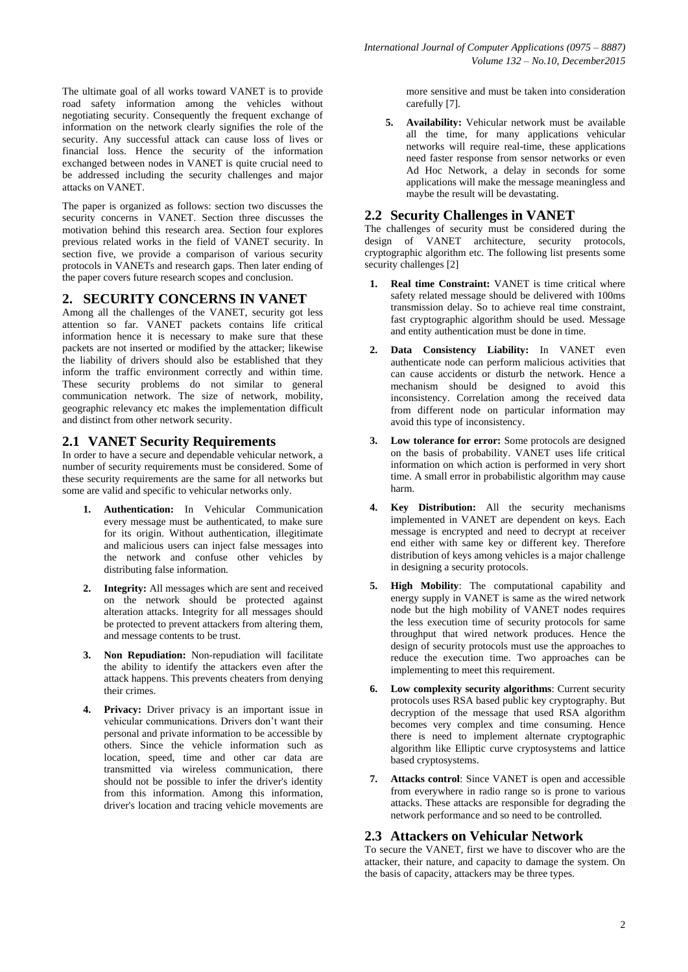The ultimate goal of all works toward VANET is to provide road safety information among the vehicles without negotiating security. Consequently the frequent exchange of information on the network clearly signifies the role of the security. Any successful attack can cause loss of lives or financial loss. Hence the security of the information exchanged between nodes in VANET is quite crucial need to be addressed including the security challenges and major attacks on VANET.

The paper is organized as follows: section two discusses the security concerns in VANET. Section three discusses the motivation behind this research area. Section four explores previous related works in the field of VANET security. In section five, we provide a comparison of various security protocols in VANETs and research gaps. Then later ending of the paper covers future research scopes and conclusion.

# **2. SECURITY CONCERNS IN VANET**

Among all the challenges of the VANET, security got less attention so far. VANET packets contains life critical information hence it is necessary to make sure that these packets are not inserted or modified by the attacker; likewise the liability of drivers should also be established that they inform the traffic environment correctly and within time. These security problems do not similar to general communication network. The size of network, mobility, geographic relevancy etc makes the implementation difficult and distinct from other network security.

# **2.1 VANET Security Requirements**

In order to have a secure and dependable vehicular network, a number of security requirements must be considered. Some of these security requirements are the same for all networks but some are valid and specific to vehicular networks only.

- **1. Authentication:** In Vehicular Communication every message must be authenticated, to make sure for its origin. Without authentication, illegitimate and malicious users can inject false messages into the network and confuse other vehicles by distributing false information.
- **2. Integrity:** All messages which are sent and received on the network should be protected against alteration attacks. Integrity for all messages should be protected to prevent attackers from altering them, and message contents to be trust.
- **3. Non Repudiation:** Non-repudiation will facilitate the ability to identify the attackers even after the attack happens. This prevents cheaters from denying their crimes.
- **4. Privacy:** Driver privacy is an important issue in vehicular communications. Drivers don't want their personal and private information to be accessible by others. Since the vehicle information such as location, speed, time and other car data are transmitted via wireless communication, there should not be possible to infer the driver's identity from this information. Among this information, driver's location and tracing vehicle movements are

more sensitive and must be taken into consideration carefully [7].

**5. Availability:** Vehicular network must be available all the time, for many applications vehicular networks will require real-time, these applications need faster response from sensor networks or even Ad Hoc Network, a delay in seconds for some applications will make the message meaningless and maybe the result will be devastating.

# **2.2 Security Challenges in VANET**

The challenges of security must be considered during the design of VANET architecture, security protocols, cryptographic algorithm etc. The following list presents some security challenges [2]

- **1. Real time Constraint:** VANET is time critical where safety related message should be delivered with 100ms transmission delay. So to achieve real time constraint, fast cryptographic algorithm should be used. Message and entity authentication must be done in time.
- **2. Data Consistency Liability:** In VANET even authenticate node can perform malicious activities that can cause accidents or disturb the network. Hence a mechanism should be designed to avoid this inconsistency. Correlation among the received data from different node on particular information may avoid this type of inconsistency.
- **3. Low tolerance for error:** Some protocols are designed on the basis of probability. VANET uses life critical information on which action is performed in very short time. A small error in probabilistic algorithm may cause harm.
- **4. Key Distribution:** All the security mechanisms implemented in VANET are dependent on keys. Each message is encrypted and need to decrypt at receiver end either with same key or different key. Therefore distribution of keys among vehicles is a major challenge in designing a security protocols.
- **5. High Mobility**: The computational capability and energy supply in VANET is same as the wired network node but the high mobility of VANET nodes requires the less execution time of security protocols for same throughput that wired network produces. Hence the design of security protocols must use the approaches to reduce the execution time. Two approaches can be implementing to meet this requirement.
- **6. Low complexity security algorithms**: Current security protocols uses RSA based public key cryptography. But decryption of the message that used RSA algorithm becomes very complex and time consuming. Hence there is need to implement alternate cryptographic algorithm like Elliptic curve cryptosystems and lattice based cryptosystems.
- **7. Attacks control**: Since VANET is open and accessible from everywhere in radio range so is prone to various attacks. These attacks are responsible for degrading the network performance and so need to be controlled.

# **2.3 Attackers on Vehicular Network**

To secure the VANET, first we have to discover who are the attacker, their nature, and capacity to damage the system. On the basis of capacity, attackers may be three types.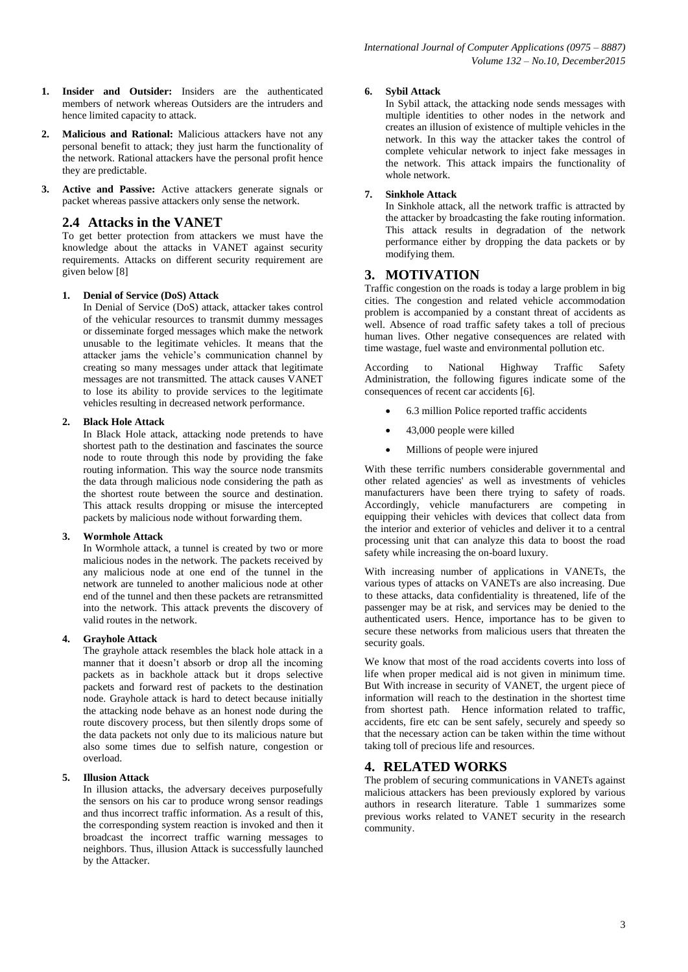- **1. Insider and Outsider:** Insiders are the authenticated members of network whereas Outsiders are the intruders and hence limited capacity to attack.
- **2. Malicious and Rational:** Malicious attackers have not any personal benefit to attack; they just harm the functionality of the network. Rational attackers have the personal profit hence they are predictable.
- **3. Active and Passive:** Active attackers generate signals or packet whereas passive attackers only sense the network.

## **2.4 Attacks in the VANET**

To get better protection from attackers we must have the knowledge about the attacks in VANET against security requirements. Attacks on different security requirement are given below [8]

#### **1. Denial of Service (DoS) Attack**

In Denial of Service (DoS) attack, attacker takes control of the vehicular resources to transmit dummy messages or disseminate forged messages which make the network unusable to the legitimate vehicles. It means that the attacker jams the vehicle's communication channel by creating so many messages under attack that legitimate messages are not transmitted. The attack causes VANET to lose its ability to provide services to the legitimate vehicles resulting in decreased network performance.

#### **2. Black Hole Attack**

In Black Hole attack, attacking node pretends to have shortest path to the destination and fascinates the source node to route through this node by providing the fake routing information. This way the source node transmits the data through malicious node considering the path as the shortest route between the source and destination. This attack results dropping or misuse the intercepted packets by malicious node without forwarding them.

#### **3. Wormhole Attack**

In Wormhole attack, a tunnel is created by two or more malicious nodes in the network. The packets received by any malicious node at one end of the tunnel in the network are tunneled to another malicious node at other end of the tunnel and then these packets are retransmitted into the network. This attack prevents the discovery of valid routes in the network.

#### **4. Grayhole Attack**

The grayhole attack resembles the black hole attack in a manner that it doesn't absorb or drop all the incoming packets as in backhole attack but it drops selective packets and forward rest of packets to the destination node. Grayhole attack is hard to detect because initially the attacking node behave as an honest node during the route discovery process, but then silently drops some of the data packets not only due to its malicious nature but also some times due to selfish nature, congestion or overload.

#### **5. Illusion Attack**

In illusion attacks, the adversary deceives purposefully the sensors on his car to produce wrong sensor readings and thus incorrect traffic information. As a result of this, the corresponding system reaction is invoked and then it broadcast the incorrect traffic warning messages to neighbors. Thus, illusion Attack is successfully launched by the Attacker.

#### **6. Sybil Attack**

In Sybil attack, the attacking node sends messages with multiple identities to other nodes in the network and creates an illusion of existence of multiple vehicles in the network. In this way the attacker takes the control of complete vehicular network to inject fake messages in the network. This attack impairs the functionality of whole network.

#### **7. Sinkhole Attack**

In Sinkhole attack, all the network traffic is attracted by the attacker by broadcasting the fake routing information. This attack results in degradation of the network performance either by dropping the data packets or by modifying them.

## **3. MOTIVATION**

Traffic congestion on the roads is today a large problem in big cities. The congestion and related vehicle accommodation problem is accompanied by a constant threat of accidents as well. Absence of road traffic safety takes a toll of precious human lives. Other negative consequences are related with time wastage, fuel waste and environmental pollution etc.

According to National Highway Traffic Safety Administration, the following figures indicate some of the consequences of recent car accidents [6].

- 6.3 million Police reported traffic accidents
- 43,000 people were killed
- Millions of people were injured

With these terrific numbers considerable governmental and other related agencies' as well as investments of vehicles manufacturers have been there trying to safety of roads. Accordingly, vehicle manufacturers are competing in equipping their vehicles with devices that collect data from the interior and exterior of vehicles and deliver it to a central processing unit that can analyze this data to boost the road safety while increasing the on-board luxury.

With increasing number of applications in VANETs, the various types of attacks on VANETs are also increasing. Due to these attacks, data confidentiality is threatened, life of the passenger may be at risk, and services may be denied to the authenticated users. Hence, importance has to be given to secure these networks from malicious users that threaten the security goals.

We know that most of the road accidents coverts into loss of life when proper medical aid is not given in minimum time. But With increase in security of VANET, the urgent piece of information will reach to the destination in the shortest time from shortest path. Hence information related to traffic, accidents, fire etc can be sent safely, securely and speedy so that the necessary action can be taken within the time without taking toll of precious life and resources.

## **4. RELATED WORKS**

The problem of securing communications in VANETs against malicious attackers has been previously explored by various authors in research literature. Table 1 summarizes some previous works related to VANET security in the research community.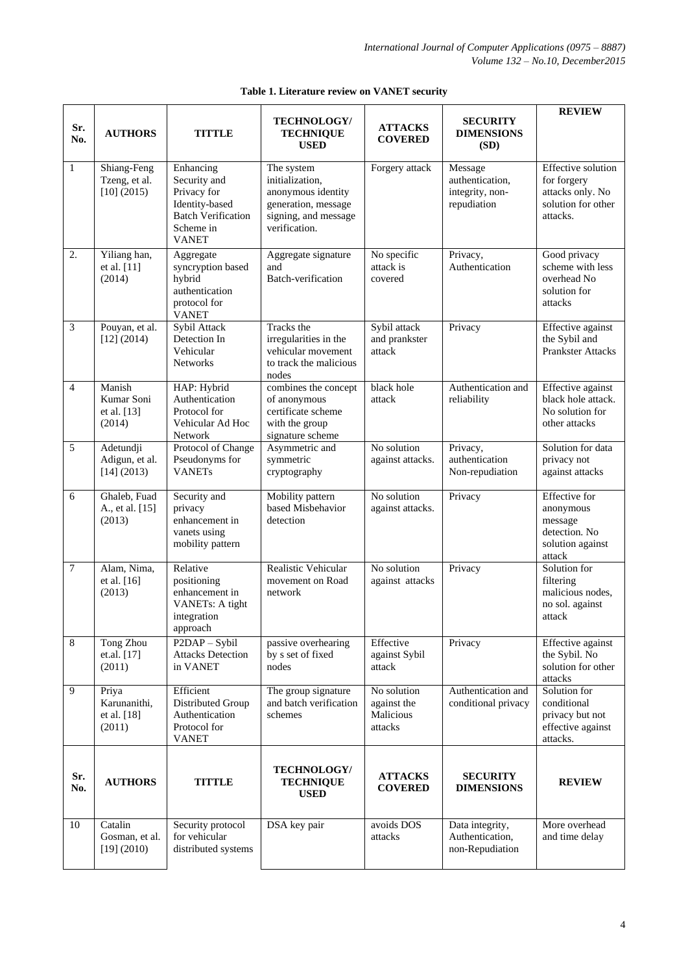| Sr.<br>No.       | <b>AUTHORS</b>                                 | <b>TITTLE</b>                                                                                                        | <b>TECHNOLOGY/</b><br><b>TECHNIQUE</b><br><b>USED</b>                                                               | <b>ATTACKS</b><br><b>COVERED</b>                   | <b>SECURITY</b><br><b>DIMENSIONS</b><br>(SD)                 | <b>REVIEW</b>                                                                               |
|------------------|------------------------------------------------|----------------------------------------------------------------------------------------------------------------------|---------------------------------------------------------------------------------------------------------------------|----------------------------------------------------|--------------------------------------------------------------|---------------------------------------------------------------------------------------------|
| $\mathbf{1}$     | Shiang-Feng<br>Tzeng, et al.<br>$[10]$ (2015)  | Enhancing<br>Security and<br>Privacy for<br>Identity-based<br><b>Batch Verification</b><br>Scheme in<br><b>VANET</b> | The system<br>initialization,<br>anonymous identity<br>generation, message<br>signing, and message<br>verification. | Forgery attack                                     | Message<br>authentication,<br>integrity, non-<br>repudiation | Effective solution<br>for forgery<br>attacks only. No<br>solution for other<br>attacks.     |
| $\overline{2}$ . | Yiliang han,<br>et al. [11]<br>(2014)          | Aggregate<br>syncryption based<br>hybrid<br>authentication<br>protocol for<br><b>VANET</b>                           | Aggregate signature<br>and<br>Batch-verification                                                                    | No specific<br>attack is<br>covered                | Privacy,<br>Authentication                                   | Good privacy<br>scheme with less<br>overhead No<br>solution for<br>attacks                  |
| $\overline{3}$   | Pouyan, et al.<br>[12] (2014)                  | Sybil Attack<br>Detection In<br>Vehicular<br><b>Networks</b>                                                         | Tracks the<br>irregularities in the<br>vehicular movement<br>to track the malicious<br>nodes                        | Sybil attack<br>and prankster<br>attack            | Privacy                                                      | <b>Effective</b> against<br>the Sybil and<br><b>Prankster Attacks</b>                       |
| $\overline{4}$   | Manish<br>Kumar Soni<br>et al. [13]<br>(2014)  | HAP: Hybrid<br>Authentication<br>Protocol for<br>Vehicular Ad Hoc<br>Network                                         | combines the concept<br>of anonymous<br>certificate scheme<br>with the group<br>signature scheme                    | black hole<br>attack                               | Authentication and<br>reliability                            | Effective against<br>black hole attack.<br>No solution for<br>other attacks                 |
| 5                | Adetundji<br>Adigun, et al.<br>[14] (2013)     | Protocol of Change<br>Pseudonyms for<br><b>VANETs</b>                                                                | Asymmetric and<br>symmetric<br>cryptography                                                                         | No solution<br>against attacks.                    | Privacy,<br>authentication<br>Non-repudiation                | Solution for data<br>privacy not<br>against attacks                                         |
| 6                | Ghaleb, Fuad<br>A., et al. [15]<br>(2013)      | Security and<br>privacy<br>enhancement in<br>vanets using<br>mobility pattern                                        | Mobility pattern<br>based Misbehavior<br>detection                                                                  | No solution<br>against attacks.                    | Privacy                                                      | <b>Effective</b> for<br>anonymous<br>message<br>detection. No<br>solution against<br>attack |
| $\tau$           | Alam, Nima,<br>et al. [16]<br>(2013)           | Relative<br>positioning<br>enhancement in<br>VANETs: A tight<br>integration<br>approach                              | Realistic Vehicular<br>movement on Road<br>network                                                                  | No solution<br>against attacks                     | Privacy                                                      | Solution for<br>filtering<br>malicious nodes,<br>no sol. against<br>attack                  |
| $\overline{8}$   | <b>Tong Zhou</b><br>et.al. [17]<br>(2011)      | P2DAP - Sybil<br><b>Attacks Detection</b><br>in VANET                                                                | passive overhearing<br>by s set of fixed<br>nodes                                                                   | Effective<br>against Sybil<br>attack               | Privacy                                                      | <b>Effective</b> against<br>the Sybil. No<br>solution for other<br>attacks                  |
| 9                | Priya<br>Karunanithi,<br>et al. [18]<br>(2011) | Efficient<br>Distributed Group<br>Authentication<br>Protocol for<br><b>VANET</b>                                     | The group signature<br>and batch verification<br>schemes                                                            | No solution<br>against the<br>Malicious<br>attacks | Authentication and<br>conditional privacy                    | Solution for<br>conditional<br>privacy but not<br>effective against<br>attacks.             |
| Sr.<br>No.       | <b>AUTHORS</b>                                 | <b>TITTLE</b>                                                                                                        | <b>TECHNOLOGY/</b><br><b>TECHNIQUE</b><br><b>USED</b>                                                               | <b>ATTACKS</b><br><b>COVERED</b>                   | <b>SECURITY</b><br><b>DIMENSIONS</b>                         | <b>REVIEW</b>                                                                               |
| 10               | Catalin<br>Gosman, et al.<br>[19] (2010)       | Security protocol<br>for vehicular<br>distributed systems                                                            | DSA key pair                                                                                                        | avoids DOS<br>attacks                              | Data integrity,<br>Authentication,<br>non-Repudiation        | More overhead<br>and time delay                                                             |

## **Table 1. Literature review on VANET security**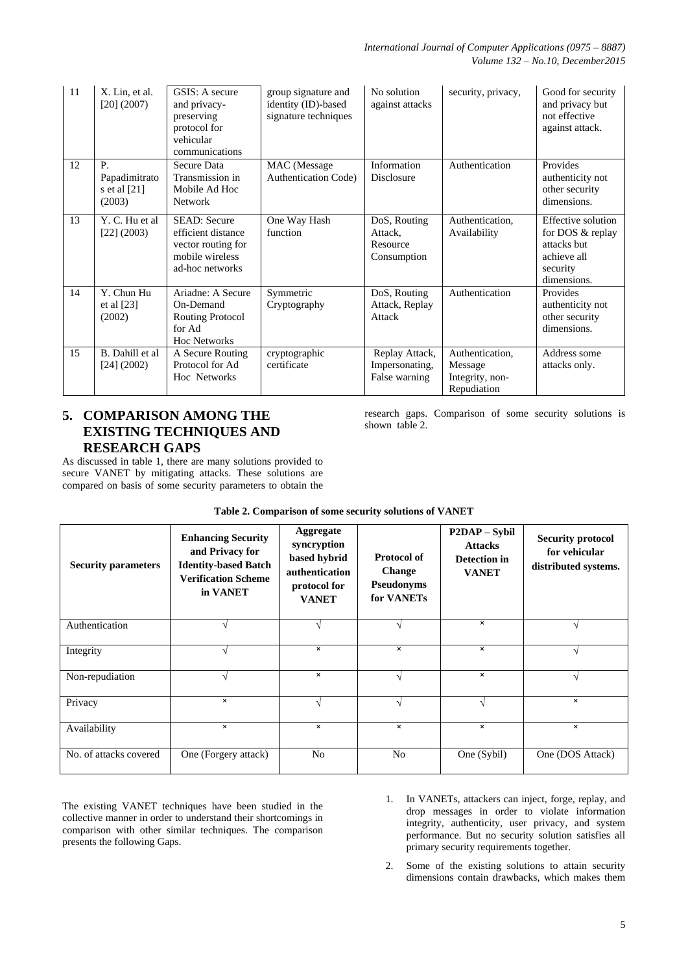| 11 | X. Lin, et al.<br>$[20]$ (2007)                        | GSIS: A secure<br>and privacy-<br>preserving<br>protocol for<br>vehicular<br>communications           | group signature and<br>identity (ID)-based<br>signature techniques | No solution<br>against attacks                     | security, privacy,                                           | Good for security<br>and privacy but<br>not effective<br>against attack.                        |
|----|--------------------------------------------------------|-------------------------------------------------------------------------------------------------------|--------------------------------------------------------------------|----------------------------------------------------|--------------------------------------------------------------|-------------------------------------------------------------------------------------------------|
| 12 | $P_{\cdot}$<br>Papadimitrato<br>s et al [21]<br>(2003) | Secure Data<br>Transmission in<br>Mobile Ad Hoc<br><b>Network</b>                                     | MAC (Message)<br><b>Authentication Code</b> )                      | Information<br><b>Disclosure</b>                   | Authentication                                               | Provides<br>authenticity not<br>other security<br>dimensions.                                   |
| 13 | Y. C. Hu et al<br>[22] (2003)                          | <b>SEAD: Secure</b><br>efficient distance<br>vector routing for<br>mobile wireless<br>ad-hoc networks | One Way Hash<br>function                                           | DoS, Routing<br>Attack,<br>Resource<br>Consumption | Authentication,<br>Availability                              | Effective solution<br>for DOS & replay<br>attacks but<br>achieve all<br>security<br>dimensions. |
| 14 | Y. Chun Hu<br>et al $[23]$<br>(2002)                   | Ariadne: A Secure<br>On-Demand<br><b>Routing Protocol</b><br>for Ad<br><b>Hoc Networks</b>            | Symmetric<br>Cryptography                                          | DoS, Routing<br>Attack, Replay<br>Attack           | Authentication                                               | Provides<br>authenticity not<br>other security<br>dimensions.                                   |
| 15 | B. Dahill et al<br>[24] (2002)                         | A Secure Routing<br>Protocol for Ad<br>Hoc Networks                                                   | cryptographic<br>certificate                                       | Replay Attack,<br>Impersonating,<br>False warning  | Authentication,<br>Message<br>Integrity, non-<br>Repudiation | Address some<br>attacks only.                                                                   |

# **5. COMPARISON AMONG THE EXISTING TECHNIQUES AND RESEARCH GAPS**

As discussed in table 1, there are many solutions provided to secure VANET by mitigating attacks. These solutions are compared on basis of some security parameters to obtain the

research gaps. Comparison of some security solutions is shown table 2.

| <b>Security parameters</b> | <b>Enhancing Security</b><br>and Privacy for<br><b>Identity-based Batch</b><br><b>Verification Scheme</b><br>in VANET | Aggregate<br>syncryption<br>based hybrid<br>authentication<br>protocol for<br><b>VANET</b> | <b>Protocol of</b><br><b>Change</b><br><b>Pseudonyms</b><br>for VANETs | <b>P2DAP</b> – Sybil<br><b>Attacks</b><br>Detection in<br><b>VANET</b> | <b>Security protocol</b><br>for vehicular<br>distributed systems. |
|----------------------------|-----------------------------------------------------------------------------------------------------------------------|--------------------------------------------------------------------------------------------|------------------------------------------------------------------------|------------------------------------------------------------------------|-------------------------------------------------------------------|
| Authentication             |                                                                                                                       |                                                                                            | $\mathcal{L}$                                                          | $\pmb{\times}$                                                         |                                                                   |
| Integrity                  | $\mathbf{\hat{}}$                                                                                                     | $\boldsymbol{\mathsf{x}}$                                                                  | $\pmb{\times}$                                                         | $\pmb{\times}$                                                         | N                                                                 |
| Non-repudiation            | $\mathcal{N}$                                                                                                         | $\times$                                                                                   | $\sqrt{ }$                                                             | $\pmb{\times}$                                                         | V                                                                 |
| Privacy                    | $\times$                                                                                                              | N                                                                                          | N                                                                      | N                                                                      | $\times$                                                          |
| Availability               | ×                                                                                                                     | $\times$                                                                                   | $\pmb{\times}$                                                         | $\pmb{\times}$                                                         | $\times$                                                          |
| No. of attacks covered     | One (Forgery attack)                                                                                                  | N <sub>o</sub>                                                                             | N <sub>0</sub>                                                         | One (Sybil)                                                            | One (DOS Attack)                                                  |

## **Table 2. Comparison of some security solutions of VANET**

The existing VANET techniques have been studied in the collective manner in order to understand their shortcomings in comparison with other similar techniques. The comparison presents the following Gaps.

- 1. In VANETs, attackers can inject, forge, replay, and drop messages in order to violate information integrity, authenticity, user privacy, and system performance. But no security solution satisfies all primary security requirements together.
- 2. Some of the existing solutions to attain security dimensions contain drawbacks, which makes them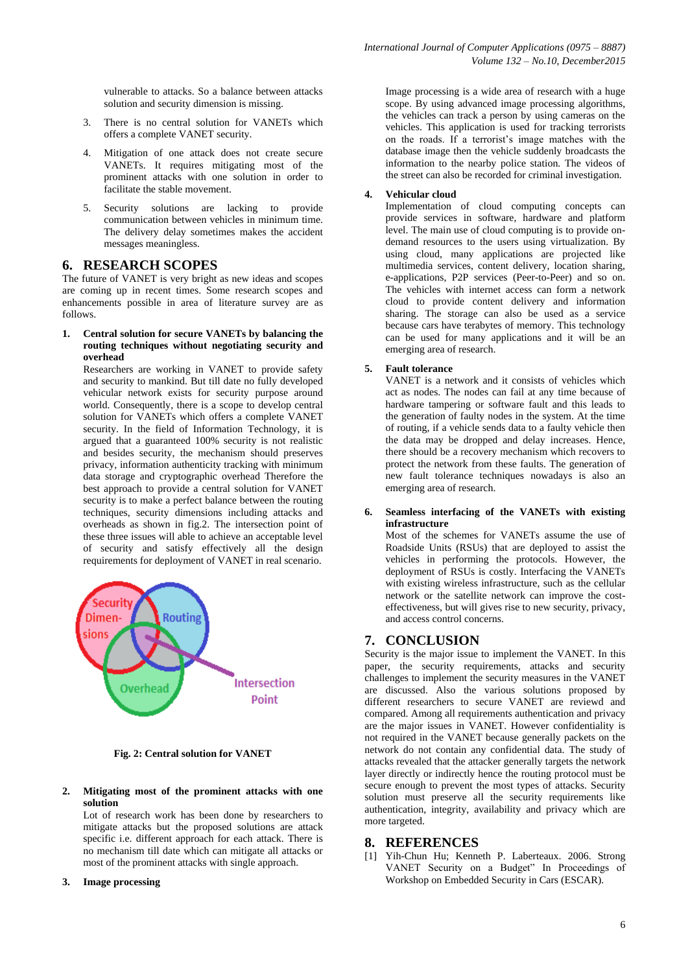vulnerable to attacks. So a balance between attacks solution and security dimension is missing.

- 3. There is no central solution for VANETs which offers a complete VANET security.
- 4. Mitigation of one attack does not create secure VANETs. It requires mitigating most of the prominent attacks with one solution in order to facilitate the stable movement.
- 5. Security solutions are lacking to provide communication between vehicles in minimum time. The delivery delay sometimes makes the accident messages meaningless.

#### **6. RESEARCH SCOPES**

The future of VANET is very bright as new ideas and scopes are coming up in recent times. Some research scopes and enhancements possible in area of literature survey are as follows.

**1. Central solution for secure VANETs by balancing the routing techniques without negotiating security and overhead**

Researchers are working in VANET to provide safety and security to mankind. But till date no fully developed vehicular network exists for security purpose around world. Consequently, there is a scope to develop central solution for VANETs which offers a complete VANET security. In the field of Information Technology, it is argued that a guaranteed 100% security is not realistic and besides security, the mechanism should preserves privacy, information authenticity tracking with minimum data storage and cryptographic overhead Therefore the best approach to provide a central solution for VANET security is to make a perfect balance between the routing techniques, security dimensions including attacks and overheads as shown in fig.2. The intersection point of these three issues will able to achieve an acceptable level of security and satisfy effectively all the design requirements for deployment of VANET in real scenario.



**Fig. 2: Central solution for VANET**

#### **2. Mitigating most of the prominent attacks with one solution**

Lot of research work has been done by researchers to mitigate attacks but the proposed solutions are attack specific i.e. different approach for each attack. There is no mechanism till date which can mitigate all attacks or most of the prominent attacks with single approach.

**3. Image processing**

Image processing is a wide area of research with a huge scope. By using advanced image processing algorithms, the vehicles can track a person by using cameras on the vehicles. This application is used for tracking terrorists on the roads. If a terrorist's image matches with the database image then the vehicle suddenly broadcasts the information to the nearby police station. The videos of the street can also be recorded for criminal investigation.

#### **4. Vehicular cloud**

Implementation of cloud computing concepts can provide services in software, hardware and platform level. The main use of cloud computing is to provide ondemand resources to the users using virtualization. By using cloud, many applications are projected like multimedia services, content delivery, location sharing, e-applications, P2P services (Peer-to-Peer) and so on. The vehicles with internet access can form a network cloud to provide content delivery and information sharing. The storage can also be used as a service because cars have terabytes of memory. This technology can be used for many applications and it will be an emerging area of research.

#### **5. Fault tolerance**

VANET is a network and it consists of vehicles which act as nodes. The nodes can fail at any time because of hardware tampering or software fault and this leads to the generation of faulty nodes in the system. At the time of routing, if a vehicle sends data to a faulty vehicle then the data may be dropped and delay increases. Hence, there should be a recovery mechanism which recovers to protect the network from these faults. The generation of new fault tolerance techniques nowadays is also an emerging area of research.

**6. Seamless interfacing of the VANETs with existing infrastructure**

Most of the schemes for VANETs assume the use of Roadside Units (RSUs) that are deployed to assist the vehicles in performing the protocols. However, the deployment of RSUs is costly. Interfacing the VANETs with existing wireless infrastructure, such as the cellular network or the satellite network can improve the costeffectiveness, but will gives rise to new security, privacy, and access control concerns.

#### **7. CONCLUSION**

Security is the major issue to implement the VANET. In this paper, the security requirements, attacks and security challenges to implement the security measures in the VANET are discussed. Also the various solutions proposed by different researchers to secure VANET are reviewd and compared. Among all requirements authentication and privacy are the major issues in VANET. However confidentiality is not required in the VANET because generally packets on the network do not contain any confidential data. The study of attacks revealed that the attacker generally targets the network layer directly or indirectly hence the routing protocol must be secure enough to prevent the most types of attacks. Security solution must preserve all the security requirements like authentication, integrity, availability and privacy which are more targeted.

#### **8. REFERENCES**

[1] Yih-Chun Hu; Kenneth P. Laberteaux. 2006. Strong VANET Security on a Budget" In Proceedings of Workshop on Embedded Security in Cars (ESCAR).